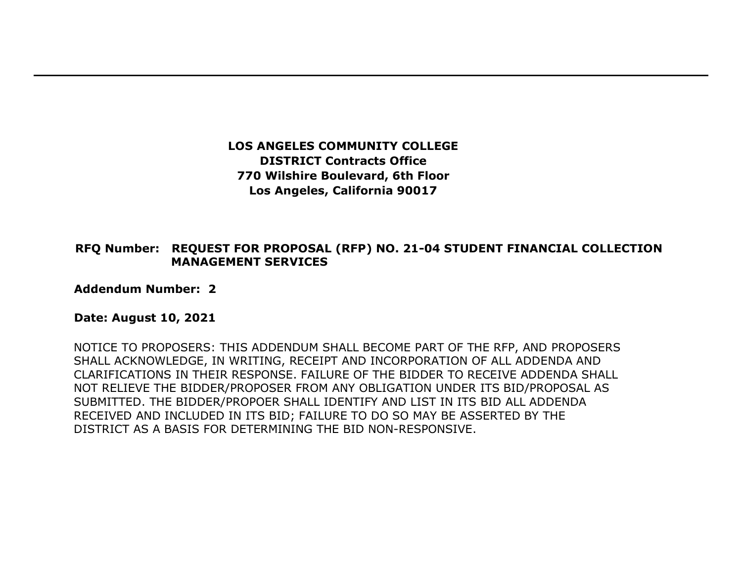**LOS ANGELES COMMUNITY COLLEGE DISTRICT Contracts Office 770 Wilshire Boulevard, 6th Floor Los Angeles, California 90017** 

## **RFQ Number: REQUEST FOR PROPOSAL (RFP) NO. 21-04 STUDENT FINANCIAL COLLECTION MANAGEMENT SERVICES**

**Addendum Number: 2**

## **Date: August 10, 2021**

NOTICE TO PROPOSERS: THIS ADDENDUM SHALL BECOME PART OF THE RFP, AND PROPOSERS SHALL ACKNOWLEDGE, IN WRITING, RECEIPT AND INCORPORATION OF ALL ADDENDA AND CLARIFICATIONS IN THEIR RESPONSE. FAILURE OF THE BIDDER TO RECEIVE ADDENDA SHALL NOT RELIEVE THE BIDDER/PROPOSER FROM ANY OBLIGATION UNDER ITS BID/PROPOSAL AS SUBMITTED. THE BIDDER/PROPOER SHALL IDENTIFY AND LIST IN ITS BID ALL ADDENDA RECEIVED AND INCLUDED IN ITS BID; FAILURE TO DO SO MAY BE ASSERTED BY THE DISTRICT AS A BASIS FOR DETERMINING THE BID NON-RESPONSIVE.